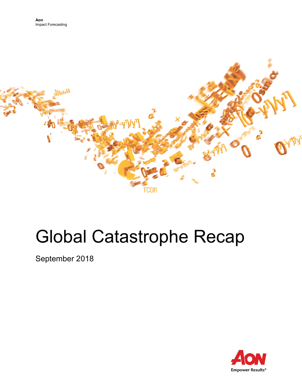

# Global Catastrophe Recap

September 2018

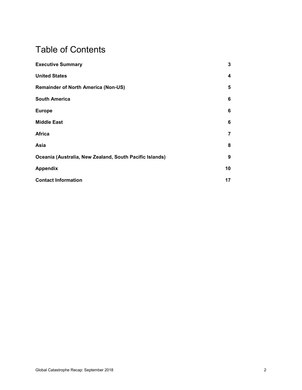# Table of Contents

| <b>Executive Summary</b>                                | 3  |
|---------------------------------------------------------|----|
| <b>United States</b>                                    | 4  |
| <b>Remainder of North America (Non-US)</b>              | 5  |
| <b>South America</b>                                    | 6  |
| <b>Europe</b>                                           | 6  |
| <b>Middle East</b>                                      | 6  |
| <b>Africa</b>                                           | 7  |
| Asia                                                    | 8  |
| Oceania (Australia, New Zealand, South Pacific Islands) | 9  |
| <b>Appendix</b>                                         | 10 |
| <b>Contact Information</b>                              | 17 |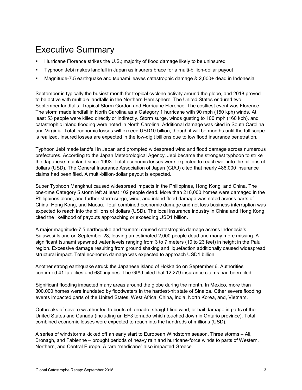# <span id="page-2-0"></span>Executive Summary

- Hurricane Florence strikes the U.S.; majority of flood damage likely to be uninsured
- Typhoon Jebi makes landfall in Japan as insurers brace for a multi-billion-dollar payout
- Magnitude-7.5 earthquake and tsunami leaves catastrophic damage & 2,000+ dead in Indonesia

September is typically the busiest month for tropical cyclone activity around the globe, and 2018 proved to be active with multiple landfalls in the Northern Hemisphere. The United States endured two September landfalls: Tropical Storm Gordon and Hurricane Florence. The costliest event was Florence. The storm made landfall in North Carolina as a Category 1 hurricane with 90 mph (150 kph) winds. At least 53 people were killed directly or indirectly. Storm surge, winds gusting to 100 mph (160 kph), and catastrophic inland flooding were noted in North Carolina. Additional damage was cited in South Carolina and Virginia. Total economic losses will exceed USD10 billion, though it will be months until the full scope is realized. Insured losses are expected in the low-digit billions due to low flood insurance penetration.

Typhoon Jebi made landfall in Japan and prompted widespread wind and flood damage across numerous prefectures. According to the Japan Meteorological Agency, Jebi became the strongest typhoon to strike the Japanese mainland since 1993. Total economic losses were expected to reach well into the billions of dollars (USD). The General Insurance Association of Japan (GIAJ) cited that nearly 486,000 insurance claims had been filed. A multi-billion-dollar payout is expected.

Super Typhoon Mangkhut caused widespread impacts in the Philippines, Hong Kong, and China. The one-time Category 5 storm left at least 102 people dead. More than 210,000 homes were damaged in the Philippines alone, and further storm surge, wind, and inland flood damage was noted across parts of China, Hong Kong, and Macau. Total combined economic damage and net loss business interruption was expected to reach into the billions of dollars (USD). The local insurance industry in China and Hong Kong cited the likelihood of payouts approaching or exceeding USD1 billion.

A major magnitude-7.5 earthquake and tsunami caused catastrophic damage across Indonesia's Sulawesi Island on September 28, leaving an estimated 2,000 people dead and many more missing. A significant tsunami spawned water levels ranging from 3 to 7 meters (10 to 23 feet) in height in the Palu region. Excessive damage resulting from ground shaking and liquefaction additionally caused widespread structural impact. Total economic damage was expected to approach USD1 billion.

Another strong earthquake struck the Japanese island of Hokkaido on September 6. Authorities confirmed 41 fatalities and 680 injuries. The GIAJ cited that 12,279 insurance claims had been filed.

Significant flooding impacted many areas around the globe during the month. In Mexico, more than 300,000 homes were inundated by floodwaters in the hardest-hit state of Sinaloa. Other severe flooding events impacted parts of the United States, West Africa, China, India, North Korea, and, Vietnam.

Outbreaks of severe weather led to bouts of tornado, straight-line wind, or hail damage in parts of the United States and Canada (including an EF3 tornado which touched down in Ontario province). Total combined economic losses were expected to reach into the hundreds of millions (USD).

A series of windstorms kicked off an early start to European Windstorm season. Three storms – Ali, Bronagh, and Fabienne – brought periods of heavy rain and hurricane-force winds to parts of Western, Northern, and Central Europe. A rare "medicane" also impacted Greece.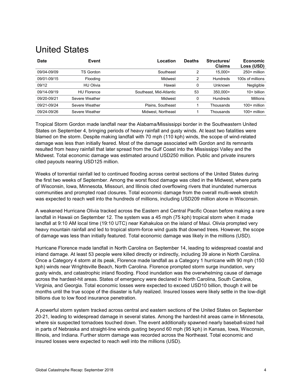#### <span id="page-3-0"></span>United States

| <b>Date</b> | Event              | Location                | <b>Deaths</b> | Structures/<br><b>Claims</b> | <b>Economic</b><br>Loss (USD) |
|-------------|--------------------|-------------------------|---------------|------------------------------|-------------------------------|
| 09/04-09/09 | TS Gordon          | Southeast               | 2             | $15.000+$                    | 250+ million                  |
| 09/01-09/15 | Flooding           | Midwest                 | 2             | <b>Hundreds</b>              | 100s of millions              |
| 09/12       | <b>HU Olivia</b>   | Hawaii                  | 0             | Unknown                      | Negligible                    |
| 09/14-09/19 | <b>HU Florence</b> | Southeast, Mid-Atlantic | 53            | 350.000+                     | $10+$ billion                 |
| 09/20-09/21 | Severe Weather     | Midwest                 | 0             | <b>Hundreds</b>              | Millions                      |
| 09/21-09/24 | Severe Weather     | Plains, Southeast       |               | Thousands                    | $100+$ million                |
| 09/24-09/26 | Severe Weather     | Midwest. Northeast      |               | Thousands                    | $100+$ million                |

Tropical Storm Gordon made landfall near the Alabama/Mississippi border in the Southeastern United States on September 4, bringing periods of heavy rainfall and gusty winds. At least two fatalities were blamed on the storm. Despite making landfall with 70 mph (110 kph) winds, the scope of wind-related damage was less than initially feared. Most of the damage associated with Gordon and its remnants resulted from heavy rainfall that later spread from the Gulf Coast into the Mississippi Valley and the Midwest. Total economic damage was estimated around USD250 million. Public and private insurers cited payouts nearing USD125 million.

Weeks of torrential rainfall led to continued flooding across central sections of the United States during the first two weeks of September. Among the worst flood damage was cited in the Midwest, where parts of Wisconsin, Iowa, Minnesota, Missouri, and Illinois cited overflowing rivers that inundated numerous communities and prompted road closures. Total economic damage from the overall multi-week stretch was expected to reach well into the hundreds of millions, including USD209 million alone in Wisconsin.

A weakened Hurricane Olivia tracked across the Eastern and Central Pacific Ocean before making a rare landfall in Hawaii on September 12. The system was a 45 mph (75 kph) tropical storm when it made landfall at 9:10 AM local time (19:10 UTC) near Kahakuloa on the island of Maui. Olivia prompted very heavy mountain rainfall and led to tropical storm-force wind gusts that downed trees. However, the scope of damage was less than initially featured. Total economic damage was likely in the millions (USD).

Hurricane Florence made landfall in North Carolina on September 14, leading to widespread coastal and inland damage. At least 53 people were killed directly or indirectly, including 39 alone in North Carolina. Once a Category 4 storm at its peak, Florence made landfall as a Category 1 hurricane with 90 mph (150 kph) winds near Wrightsville Beach, North Carolina. Florence prompted storm surge inundation, very gusty winds, and catastrophic inland flooding. Flood inundation was the overwhelming cause of damage across the hardest-hit areas. States of emergency were declared in North Carolina, South Carolina, Virginia, and Georgia. Total economic losses were expected to exceed USD10 billion, though it will be months until the true scope of the disaster is fully realized. Insured losses were likely settle in the low-digit billions due to low flood insurance penetration.

A powerful storm system tracked across central and eastern sections of the United States on September 20-21, leading to widespread damage in several states. Among the hardest-hit areas came in Minnesota, where six suspected tornadoes touched down. The event additionally spawned nearly baseball-sized hail in parts of Nebraska and straight-line winds gusting beyond 60 mph (95 kph) in Kansas, Iowa, Wisconsin, Illinois, and Indiana. Further storm damage was recorded across the Northeast. Total economic and insured losses were expected to reach well into the millions (USD).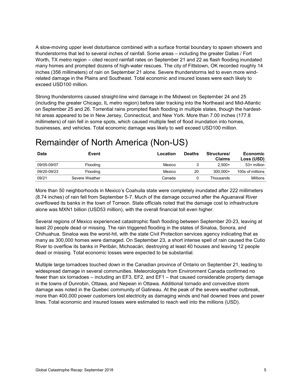A slow-moving upper level disturbance combined with a surface frontal boundary to spawn showers and thunderstorms that led to several inches of rainfall. Some areas – including the greater Dallas / Fort Worth, TX metro region – cited record rainfall rates on September 21 and 22 as flash flooding inundated many homes and prompted dozens of high-water rescues. The city of Fittstown, OK recorded roughly 14 inches (356 millimeters) of rain on September 21 alone. Severe thunderstorms led to even more windrelated damage in the Plains and Southeast. Total economic and insured losses were each likely to exceed USD100 million.

Strong thunderstorms caused straight-line wind damage in the Midwest on September 24 and 25 (including the greater Chicago, IL metro region) before later tracking into the Northeast and Mid-Atlantic on September 25 and 26. Torrential rains prompted flash flooding in multiple states, though the hardesthit areas appeared to be in New Jersey, Connecticut, and New York. More than 7.00 inches (177.8) millimeters) of rain fell in some spots, which caused multiple feet of flood inundation into homes, businesses, and vehicles. Total economic damage was likely to well exceed USD100 million.

# <span id="page-4-0"></span>Remainder of North America (Non-US)

| <b>Date</b> | Event          | Location | <b>Deaths</b> | Structures/<br><b>Claims</b> | Economic<br>Loss (USD) |
|-------------|----------------|----------|---------------|------------------------------|------------------------|
| 09/05-09/07 | Flooding       | Mexico   |               | $2.500+$                     | 53+ million            |
| 09/20-09/23 | Flooding       | Mexico   | 20            | $300.000+$                   | 100s of millions       |
| 09/21       | Severe Weather | Canada   |               | Thousands                    | <b>Millions</b>        |

More than 50 neighborhoods in Mexico's Coahuila state were completely inundated after 222 millimeters (8.74 inches) of rain fell from September 5-7. Much of the damage occurred after the Aguanaval River overflowed its banks in the town of Torreon. State officials noted that the damage cost to infrastructure alone was MXN1 billion (USD53 million), with the overall financial toll even higher.

Several regions of Mexico experienced catastrophic flash flooding between September 20-23, leaving at least 20 people dead or missing. The rain triggered flooding in the states of Sinaloa, Sonora, and Chihuahua. Sinaloa was the worst-hit, with the state Civil Protection services agency indicating that as many as 300,000 homes were damaged. On September 23, a short intense spell of rain caused the Cutio River to overflow its banks in Peribán, Michoacán, destroying at least 40 houses and leaving 12 people dead or missing. Total economic losses were expected to be substantial.

<span id="page-4-1"></span>Multiple large tornadoes touched down in the Canadian province of Ontario on September 21, leading to widespread damage in several communities. Meteorologists from Environment Canada confirmed no fewer than six tornadoes – including an EF3, EF2, and EF1 – that caused considerable property damage in the towns of Dunrobin, Ottawa, and Nepean in Ottawa. Additional tornado and convective storm damage was noted in the Quebec community of Gatineau. At the peak of the severe weather outbreak, more than 400,000 power customers lost electricity as damaging winds and hail downed trees and power lines. Total economic and insured losses were estimated to reach well into the millions (USD).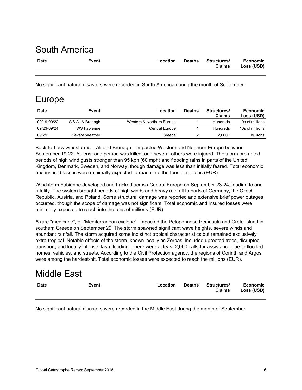#### South America

| <b>Date</b> | Event | $\overline{\phantom{a}}$ $\overline{\phantom{a}}$ $\overline{\phantom{a}}$ $\overline{\phantom{a}}$ | <b>Deaths</b> | Structures/   | <b>Economic</b> |
|-------------|-------|-----------------------------------------------------------------------------------------------------|---------------|---------------|-----------------|
|             |       |                                                                                                     |               | <b>Claims</b> | Loss (USD)      |
|             |       |                                                                                                     |               |               |                 |

No significant natural disasters were recorded in South America during the month of September.

#### <span id="page-5-0"></span>Europe

| <b>Date</b> | Event            | Location                  | <b>Deaths</b> | Structures/<br><b>Claims</b> | Economic<br>Loss (USD) |
|-------------|------------------|---------------------------|---------------|------------------------------|------------------------|
| 09/19-09/22 | WS Ali & Bronagh | Western & Northern Europe |               | Hundreds                     | 10s of millions        |
| 09/23-09/24 | WS Fabienne      | Central Europe            |               | Hundreds                     | 10s of millions        |
| 09/29       | Severe Weather   | Greece                    |               | $2.000+$                     | Millions               |

Back-to-back windstorms – Ali and Bronagh – impacted Western and Northern Europe between September 19-22. At least one person was killed, and several others were injured. The storm prompted periods of high wind gusts stronger than 95 kph (60 mph) and flooding rains in parts of the United Kingdom, Denmark, Sweden, and Norway, though damage was less than initially feared. Total economic and insured losses were minimally expected to reach into the tens of millions (EUR).

Windstorm Fabienne developed and tracked across Central Europe on September 23-24, leading to one fatality. The system brought periods of high winds and heavy rainfall to parts of Germany, the Czech Republic, Austria, and Poland. Some structural damage was reported and extensive brief power outages occurred, though the scope of damage was not significant. Total economic and insured losses were minimally expected to reach into the tens of millions (EUR).

A rare "medicane", or "Mediterranean cyclone", impacted the Peloponnese Peninsula and Crete Island in southern Greece on September 29. The storm spawned significant wave heights, severe winds and abundant rainfall. The storm acquired some indistinct tropical characteristics but remained exclusively extra-tropical. Notable effects of the storm, known locally as Zorbas, included uprooted trees, disrupted transport, and locally intense flash flooding. There were at least 2,000 calls for assistance due to flooded homes, vehicles, and streets. According to the Civil Protection agency, the regions of Corinth and Argos were among the hardest-hit. Total economic losses were expected to reach the millions (EUR).

# <span id="page-5-1"></span>Middle East

| <b>Date</b> | Event | Location | <b>Deaths</b> | <b>Structures/</b><br><b>Claims</b> | <b>Economic</b><br>Loss (USD) |
|-------------|-------|----------|---------------|-------------------------------------|-------------------------------|
|             |       |          |               |                                     |                               |

<span id="page-5-2"></span>No significant natural disasters were recorded in the Middle East during the month of September.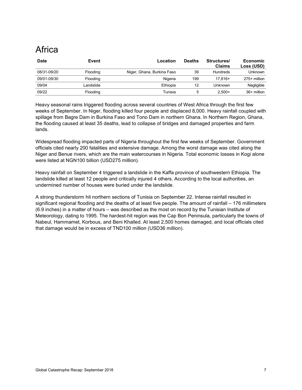# Africa

| <b>Date</b> | Event           | Location                   | <b>Deaths</b> | Structures/<br><b>Claims</b> | Economic<br>Loss (USD) |
|-------------|-----------------|----------------------------|---------------|------------------------------|------------------------|
| 08/31-09/20 | <b>Flooding</b> | Niger, Ghana, Burkina Faso | 39            | Hundreds                     | Unknown                |
| 09/01-09/30 | Flooding        | Nigeria                    | 199           | $17.816+$                    | 275+ million           |
| 09/04       | Landslide       | Ethiopia                   | 12            | Unknown                      | Negligible             |
| 09/22       | <b>Flooding</b> | Tunisia                    | 5             | $2.500+$                     | 36+ million            |

Heavy seasonal rains triggered flooding across several countries of West Africa through the first few weeks of September. In Niger, flooding killed four people and displaced 8,000. Heavy rainfall coupled with spillage from Bagre Dam in Burkina Faso and Tono Dam in northern Ghana. In Northern Region, Ghana, the flooding caused at least 35 deaths, lead to collapse of bridges and damaged properties and farm lands.

Widespread flooding impacted parts of Nigeria throughout the first few weeks of September. Government officials cited nearly 200 fatalities and extensive damage. Among the worst damage was cited along the Niger and Benue rivers, which are the main watercourses in Nigeria. Total economic losses in Kogi alone were listed at NGN100 billion (USD275 million).

Heavy rainfall on September 4 triggered a landslide in the Kaffa province of southwestern Ethiopia. The landslide killed at least 12 people and critically injured 4 others. According to the local authorities, an undermined number of houses were buried under the landslide.

<span id="page-6-0"></span>A strong thunderstorm hit northern sections of Tunisia on September 22. Intense rainfall resulted in significant regional flooding and the deaths of at least five people. The amount of rainfall – 176 millimeters (6.9 inches) in a matter of hours – was described as the most on record by the Tunisian Institute of Meteorology, dating to 1995. The hardest-hit region was the Cap Bon Peninsula, particularly the towns of Nabeul, Hammamet, Korbous, and Beni Khalled. At least 2,500 homes damaged, and local officials cited that damage would be in excess of TND100 million (USD36 million).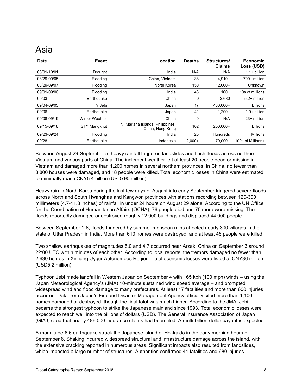#### Asia

| <b>Date</b> | Event                 | Location                                             | <b>Deaths</b> | Structures/<br><b>Claims</b> | <b>Economic</b><br>Loss (USD) |
|-------------|-----------------------|------------------------------------------------------|---------------|------------------------------|-------------------------------|
| 06/01-10/01 | <b>Drought</b>        | India                                                | N/A           | N/A                          | $1.1 + billion$               |
| 08/29-09/05 | Flooding              | China, Vietnam                                       | 38            | $4,910+$                     | 790+ million                  |
| 08/29-09/07 | Flooding              | North Korea                                          | 150           | $12.000+$                    | Unknown                       |
| 09/01-09/06 | Flooding              | India                                                | 46            | $160+$                       | 10s of millions               |
| 09/03       | Earthquake            | China                                                | 0             | 2,630                        | 5.2+ million                  |
| 09/04-09/05 | TY Jebi               | Japan                                                | 17            | 486,000+                     | <b>Billions</b>               |
| 09/06       | Earthquake            | Japan                                                | 41            | $1.200+$                     | $1.0+$ billion                |
| 09/08-09/19 | <b>Winter Weather</b> | China                                                | 0             | N/A                          | 23+ million                   |
| 09/15-09/18 | <b>STY Mangkhut</b>   | N. Mariana Islands, Philippines,<br>China, Hong Kong | 102           | 250.000+                     | <b>Billions</b>               |
| 09/23-09/24 | Flooding              | India                                                | 25            | Hundreds                     | <b>Millions</b>               |
| 09/28       | Earthquake            | Indonesia                                            | $2.000+$      | 70.000+                      | 100s of Millions+             |

Between August 29-September 5, heavy rainfall triggered landslides and flash floods across northern Vietnam and various parts of China. The inclement weather left at least 20 people dead or missing in Vietnam and damaged more than 1,200 homes in several northern provinces. In China, no fewer than 3,800 houses were damaged, and 18 people were killed. Total economic losses in China were estimated to minimally reach CNY5.4 billion (USD790 million).

Heavy rain in North Korea during the last few days of August into early September triggered severe floods across North and South Hwanghae and Kangwon provinces with stations recording between 120-300 millimeters (4.7-11.8 inches) of rainfall in under 24 hours on August 29 alone. According to the UN Office for the Coordination of Humanitarian Affairs (OCHA), 76 people died and 75 more were missing. The floods reportedly damaged or destroyed roughly 12,000 buildings and displaced 44,000 people.

Between September 1-6, floods triggered by summer monsoon rains affected nearly 300 villages in the state of Uttar Pradesh in India. More than 610 homes were destroyed, and at least 46 people were killed.

Two shallow earthquakes of magnitudes 5.0 and 4.7 occurred near Arzak, China on September 3 around 22:00 UTC within minutes of each other. According to local reports, the tremors damaged no fewer than 2,630 homes in Xinjiang Uygur Autonomous Region. Total economic losses were listed at CNY36 million (USD5.2 million).

Typhoon Jebi made landfall in Western Japan on September 4 with 165 kph (100 mph) winds – using the Japan Meteorological Agency's (JMA) 10-minute sustained wind speed average – and prompted widespread wind and flood damage to many prefectures. At least 17 fatalities and more than 600 injuries occurred. Data from Japan's Fire and Disaster Management Agency officially cited more than 1,100 homes damaged or destroyed, though the final total was much higher. According to the JMA, Jebi became the strongest typhoon to strike the Japanese mainland since 1993. Total economic losses were expected to reach well into the billions of dollars (USD). The General Insurance Association of Japan (GIAJ) cited that nearly 486,000 insurance claims had been filed. A multi-billion-dollar payout is expected.

A magnitude-6.6 earthquake struck the Japanese island of Hokkaido in the early morning hours of September 6. Shaking incurred widespread structural and infrastructure damage across the island, with the extensive cracking reported in numerous areas. Significant impacts also resulted from landslides, which impacted a large number of structures. Authorities confirmed 41 fatalities and 680 injuries.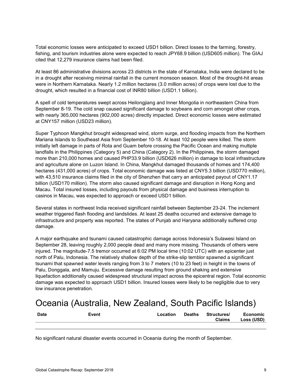Total economic losses were anticipated to exceed USD1 billion. Direct losses to the farming, forestry, fishing, and tourism industries alone were expected to reach JPY68.9 billion (USD605 million). The GIAJ cited that 12,279 insurance claims had been filed.

At least 86 administrative divisions across 23 districts in the state of Karnataka, India were declared to be in a drought after receiving minimal rainfall in the current monsoon season. Most of the drought-hit areas were in Northern Karnataka. Nearly 1.2 million hectares (3.0 million acres) of crops were lost due to the drought, which resulted in a financial cost of INR80 billion (USD1.1 billion).

A spell of cold temperatures swept across Heilongjiang and Inner Mongolia in northeastern China from September 8-19. The cold snap caused significant damage to soybeans and corn amongst other crops, with nearly 365,000 hectares (902,000 acres) directly impacted. Direct economic losses were estimated at CNY157 million (USD23 million).

Super Typhoon Mangkhut brought widespread wind, storm surge, and flooding impacts from the Northern Mariana Islands to Southeast Asia from September 10-18. At least 102 people were killed. The storm initially left damage in parts of Rota and Guam before crossing the Pacific Ocean and making multiple landfalls in the Philippines (Category 5) and China (Category 2). In the Philippines, the storm damaged more than 210,000 homes and caused PHP33.9 billion (USD626 million) in damage to local infrastructure and agriculture alone on Luzon Island. In China, Mangkhut damaged thousands of homes and 174,400 hectares (431,000 acres) of crops. Total economic damage was listed at CNY5.3 billion (USD770 million), with 43,510 insurance claims filed in the city of Shenzhen that carry an anticipated payout of CNY1.17 billion (USD170 million). The storm also caused significant damage and disruption in Hong Kong and Macau. Total insured losses, including payouts from physical damage and business interruption to casinos in Macau, was expected to approach or exceed USD1 billion.

Several states in northwest India received significant rainfall between September 23-24. The inclement weather triggered flash flooding and landslides. At least 25 deaths occurred and extensive damage to infrastructure and property was reported. The states of Punjab and Haryana additionally suffered crop damage.

A major earthquake and tsunami caused catastrophic damage across Indonesia's Sulawesi Island on September 28, leaving roughly 2,000 people dead and many more missing. Thousands of others were injured. The magnitude-7.5 tremor occurred at 6:02 PM local time (10:02 UTC) with an epicenter just north of Palu, Indonesia. The relatively shallow depth of the strike-slip temblor spawned a significant tsunami that spawned water levels ranging from 3 to 7 meters (10 to 23 feet) in height in the towns of Palu, Donggala, and Mamuju. Excessive damage resulting from ground shaking and extensive liquefaction additionally caused widespread structural impact across the epicentral region. Total economic damage was expected to approach USD1 billion. Insured losses were likely to be negligible due to very low insurance penetration.

# <span id="page-8-0"></span>Oceania (Australia, New Zealand, South Pacific Islands)

| <b>Date</b> | Event | ∟ocation | <b>Deaths</b> | Structures/<br><b>Claims</b> | <b>Economic</b><br>Loss (USD) |
|-------------|-------|----------|---------------|------------------------------|-------------------------------|
|             |       |          |               |                              |                               |

No significant natural disaster events occurred in Oceania during the month of September.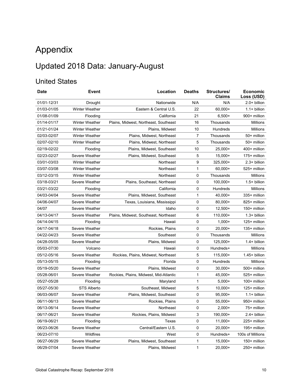# <span id="page-9-0"></span>Appendix

## Updated 2018 Data: January-August

#### United States

| <b>Date</b> | Event                 | Location                               | <b>Deaths</b> | Structures/<br><b>Claims</b> | <b>Economic</b><br>Loss (USD) |
|-------------|-----------------------|----------------------------------------|---------------|------------------------------|-------------------------------|
| 01/01-12/31 | Drought               | Nationwide                             | N/A           | N/A                          | $2.0+$ billion                |
| 01/03-01/05 | Winter Weather        | Eastern & Central U.S.                 | 22            | 60,000+                      | $1.1 + billion$               |
| 01/08-01/09 | Flooding              | California                             | 21            | $6,500+$                     | 900+ million                  |
| 01/14-01/17 | <b>Winter Weather</b> | Plains, Midwest, Northeast, Southeast  | 16            | Thousands                    | Millions                      |
| 01/21-01/24 | <b>Winter Weather</b> | Plains, Midwest                        | 10            | Hundreds                     | Millions                      |
| 02/03-02/07 | <b>Winter Weather</b> | Plains, Midwest, Northeast             | 7             | Thousands                    | 50+ million                   |
| 02/07-02/10 | <b>Winter Weather</b> | Plains, Midwest, Northeast             | 5             | Thousands                    | 50+ million                   |
| 02/19-02/22 | Flooding              | Plains, Midwest, Southeast             | 10            | $25,000+$                    | 400+ million                  |
| 02/23-02/27 | Severe Weather        | Plains, Midwest, Southeast             | 5             | $15,000+$                    | 175+ million                  |
| 03/01-03/03 | <b>Winter Weather</b> | Northeast                              | 9             | 325,000+                     | 2.3+ billion                  |
| 03/07-03/08 | <b>Winter Weather</b> | Northeast                              | 1             | $60,000+$                    | 525+ million                  |
| 03/12-03/15 | <b>Winter Weather</b> | Northeast                              | 0             | Thousands                    | Millions                      |
| 03/18-03/21 | Severe Weather        | Plains, Southeast, Northeast           | 0             | 100,000+                     | $1.5+$ billion                |
| 03/21-03/22 | Flooding              | California                             | 0             | Hundreds                     | Millions                      |
| 04/03-04/04 | Severe Weather        | Plains, Midwest, Southeast             | $\mathbf 1$   | 40,000+                      | 335+ million                  |
| 04/06-04/07 | Severe Weather        | Texas, Louisiana, Mississippi          | 0             | 80,000+                      | 825+ million                  |
| 04/07       | Severe Weather        | Idaho                                  | 0             | $12,500+$                    | 150+ million                  |
| 04/13-04/17 | Severe Weather        | Plains, Midwest, Southeast, Northeast  | 6             | 110,000+                     | $1.3+$ billion                |
| 04/14-04/15 | Flooding              | Hawaii                                 | 0             | $1.000 +$                    | 125+ million                  |
| 04/17-04/18 | Severe Weather        | Rockies, Plains                        | 0             | $20,000+$                    | 135+ million                  |
| 04/22-04/23 | Severe Weather        | Southeast                              | 0             | Thousands                    | <b>Millions</b>               |
| 04/28-05/05 | Severe Weather        | Plains, Midwest                        | 0             | 125,000+                     | $1.4+$ billion                |
| 05/03-07/30 | Volcano               | Hawaii                                 | 0             | Hundreds+                    | Millions                      |
| 05/12-05/16 | Severe Weather        | Rockies, Plains, Midwest, Northeast    | 5             | 115,000+                     | 1.45+ billion                 |
| 05/13-05/15 | Flooding              | Florida                                | 0             | Hundreds                     | Millions                      |
| 05/19-05/20 | Severe Weather        | Plains, Midwest                        | 0             | $30,000+$                    | 500+ million                  |
| 05/28-06/01 | Severe Weather        | Rockies, Plains, Midwest, Mid-Atlantic | 1             | $45,000+$                    | 525+ million                  |
| 05/27-05/28 | Flooding              | Maryland                               | 1             | $5,000+$                     | 100+ million                  |
| 05/27-05/30 | <b>STS Alberto</b>    | Southeast. Midwest                     | 5             | $10,000+$                    | 125+ million                  |
| 06/03-06/07 | Severe Weather        | Plains, Midwest, Southeast             | 0             | $95,000+$                    | $1.1 + billion$               |
| 06/11-06/13 | Severe Weather        | Rockies, Plains                        | 0             | $55,000+$                    | 950+ million                  |
| 06/13-06/14 | Severe Weather        | Northeast                              | 0             | $2,000+$                     | 75+ million                   |
| 06/17-06/21 | Severe Weather        | Rockies, Plains, Midwest               | 3             | 190,000+                     | 2.4+ billion                  |
| 06/19-06/21 | Flooding              | Texas                                  | 0             | $11,000+$                    | 225+ million                  |
| 06/23-06/26 | Severe Weather        | Central/Eastern U.S.                   | 0             | $20,000+$                    | 195+ million                  |
| 06/23-07/10 | Wildfires             | West                                   | 0             | Hundreds+                    | 100s of Millions              |
| 06/27-06/29 | Severe Weather        | Plains, Midwest, Southeast             | 1             | 15,000+                      | 150+ million                  |
| 06/29-07/04 | Severe Weather        | Plains, Midwest                        | $\mathbf{1}$  | $20,000+$                    | 250+ million                  |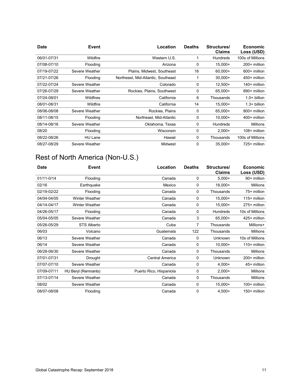| <b>Date</b> | Event            | Location                           | <b>Deaths</b> | Structures/<br><b>Claims</b> | <b>Economic</b><br>Loss (USD) |
|-------------|------------------|------------------------------------|---------------|------------------------------|-------------------------------|
| 06/01-07/31 | Wildfire         | Western U.S.                       | 1             | Hundreds                     | 100s of Millions              |
| 07/08-07/10 | Flooding         | Arizona                            | 0             | $15,000+$                    | 200+ million                  |
| 07/19-07/22 | Severe Weather   | Plains, Midwest, Southeast         | 18            | $60.000+$                    | 600+ million                  |
| 07/21-07/26 | Flooding         | Northeast, Mid-Atlantic, Southeast | 1             | $30,000+$                    | 450+ million                  |
| 07/22-07/24 | Severe Weather   | Colorado                           | 0             | $12,500+$                    | 140+ million                  |
| 07/26-07/29 | Severe Weather   | Rockies, Plains, Southwest         | 0             | 65,000+                      | 890+ million                  |
| 07/24-08/01 | <b>Wildfires</b> | California                         | 6             | Thousands                    | $1.0+$ billion                |
| 08/01-08/31 | Wildfire         | California                         | 14            | $15,000+$                    | $1.3+$ billion                |
| 08/06-08/08 | Severe Weather   | Rockies, Plains                    | 0             | 65.000+                      | 800+ million                  |
| 08/11-08/15 | Flooding         | Northeast, Mid-Atlantic            | 0             | $10,000+$                    | 400+ million                  |
| 08/14-08/16 | Severe Weather   | Oklahoma, Texas                    | 0             | <b>Hundreds</b>              | <b>Millions</b>               |
| 08/20       | Flooding         | Wisconsin                          | 0             | $2.000+$                     | 108+ million                  |
| 08/22-08/26 | HU Lane          | Hawaii                             | 0             | Thousands                    | 100s of Millions              |
| 08/27-08/29 | Severe Weather   | Midwest                            | 0             | $35,000+$                    | 725+ million                  |

#### Rest of North America (Non-U.S.)

| <b>Date</b> | Event                 | Location                | <b>Deaths</b> | Structures/<br><b>Claims</b> | <b>Economic</b><br>Loss (USD) |
|-------------|-----------------------|-------------------------|---------------|------------------------------|-------------------------------|
| 01/11-0/14  | Flooding              | Canada                  | 0             | $5,000+$                     | 90+ million                   |
| 02/16       | Earthquake            | Mexico                  | 0             | 18,000+                      | <b>Millions</b>               |
| 02/19-02/22 | Flooding              | Canada                  | 0             | Thousands                    | 75+ million                   |
| 04/04-04/05 | <b>Winter Weather</b> | Canada                  | 0             | 15,000+                      | 115+ million                  |
| 04/14-04/17 | <b>Winter Weather</b> | Canada                  | 0             | 15,000+                      | 275+ million                  |
| 04/26-05/17 | Flooding              | Canada                  | 0             | Hundreds                     | 10s of Millions               |
| 05/04-05/05 | Severe Weather        | Canada                  | 3             | 65,000+                      | 425+ million                  |
| 05/26-05/29 | STS Alberto           | Cuba                    | 7             | Thousands                    | Millions+                     |
| 06/03       | Volcano               | Guatemala               | 122           | Thousands                    | <b>Millions</b>               |
| 06/13       | Severe Weather        | Canada                  | 0             | Unknown                      | 10s of Millions               |
| 06/14       | Severe Weather        | Canada                  | 0             | $10,000+$                    | 110+ million                  |
| 06/28-06/30 | Severe Weather        | Canada                  | 0             | Thousands                    | <b>Millions</b>               |
| 07/01-07/31 | Drought               | Central America         | 0             | Unknown                      | 200+ million                  |
| 07/07-07/10 | Severe Weather        | Canada                  | 0             | $4,000+$                     | 45+ million                   |
| 07/09-07/11 | HU Beryl (Remnants)   | Puerto Rico, Hispaniola | 0             | $2,000+$                     | <b>Millions</b>               |
| 07/13-07/14 | Severe Weather        | Canada                  | 0             | Thousands                    | <b>Millions</b>               |
| 08/02       | Severe Weather        | Canada                  | 0             | 15,000+                      | 100+ million                  |
| 08/07-08/08 | Flooding              | Canada                  | 0             | $4,500+$                     | 150+ million                  |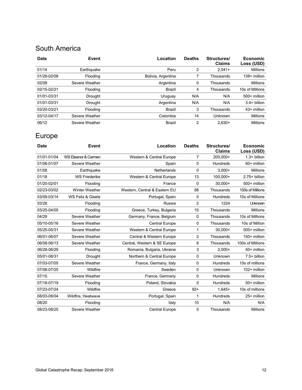#### South America

| <b>Date</b> | Event          | Location           | <b>Deaths</b> | Structures/<br><b>Claims</b> | <b>Economic</b><br>Loss (USD) |
|-------------|----------------|--------------------|---------------|------------------------------|-------------------------------|
| 01/14       | Earthquake     | Peru               | 2             | $2.541+$                     | <b>Millions</b>               |
| 01/29-02/08 | Flooding       | Bolivia, Argentina |               | Thousands                    | 138+ million                  |
| 02/09       | Severe Weather | Argentina          | 0             | Thousands                    | <b>Millions</b>               |
| 02/15-02/21 | Flooding       | Brazil             | 4             | Thousands                    | 10s of Millions               |
| 01/01-03/31 | Drought        | Uruguay            | N/A           | N/A                          | 500+ million                  |
| 01/01-03/31 | <b>Drought</b> | Argentina          | N/A           | N/A                          | $3.4+$ billion                |
| 03/20-03/21 | Flooding       | Brazil             | 3             | Thousands                    | 43+ million                   |
| 03/12-04/17 | Severe Weather | Colombia           | 14            | Unknown                      | <b>Millions</b>               |
| 06/12       | Severe Weather | Brazil             | 2             | $2.630+$                     | <b>Millions</b>               |

#### Europe

| <b>Date</b> | Event                 | Location                      | <b>Deaths</b>  | Structures/<br><b>Claims</b> | <b>Economic</b><br>Loss (USD) |
|-------------|-----------------------|-------------------------------|----------------|------------------------------|-------------------------------|
| 01/01-01/04 | WS Eleanor & Carmen   | Western & Central Europe      | 7              | 200,000+                     | $1.3+$ billion                |
| 01/06-01/07 | Severe Weather        | Spain                         | 0              | <b>Hundreds</b>              | 60+ million                   |
| 01/08       | Earthquake            | Netherlands                   | 0              | $3,000+$                     | <b>Millions</b>               |
| 01/18       | <b>WS Friederike</b>  | Western & Central Europe      | 13             | 100,000+                     | $2.75 + billion$              |
| 01/20-02/01 | Flooding              | France                        | 0              | $30,000+$                    | 500+ million                  |
| 02/23-03/02 | <b>Winter Weather</b> | Western, Central & Eastern EU | 88             | Thousands                    | 100s of Millions              |
| 03/09-03/14 | WS Felix & Gisele     | Portugal, Spain               | 0              | Hundreds                     | 10s of Millions               |
| 03/28       | Flooding              | Russia                        | 2              | 1224                         | <b>Unknown</b>                |
| 03/25-04/05 | Flooding              | Greece, Turkey, Bulgaria      | 15             | Thousands                    | <b>Millions</b>               |
| 04/29       | Severe Weather        | Germany, France, Belgium      | $\mathbf 0$    | Thousands                    | 10s of Millions               |
| 05/10-05/16 | Severe Weather        | <b>Central Europe</b>         | 0              | Thousands                    | 10s of Million                |
| 05/25-05/31 | Severe Weather        | Western & Central Europe      | 1              | $30,000+$                    | 500+ million                  |
| 06/01-06/07 | Severe Weather        | Central & Western Europe      | $\overline{2}$ | Thousands                    | 150+ million                  |
| 06/08-06/13 | Severe Weather        | Central, Western & SE Europe  | 6              | Thousands                    | 100s of Millions              |
| 06/28-06/29 | Flooding              | Romania, Bulgaria, Ukraine    | 3              | $2,000+$                     | 50+ million                   |
| 05/01-08/31 | Drought               | Northern & Central Europe     | 0              | Unknown                      | $7.5+$ billion                |
| 07/03-07/05 | Severe Weather        | France, Germany, Italy        | 0              | <b>Hundreds</b>              | 10s of millions               |
| 07/08-07/25 | Wildfire              | Sweden                        | $\mathbf 0$    | Unknown                      | 102+ million                  |
| 07/15       | Severe Weather        | France, Germany               | 0              | Hundreds                     | <b>Millions</b>               |
| 07/18-07/19 | Flooding              | Poland, Slovakia              | $\mathbf 0$    | Hundreds                     | 50+ million                   |
| 07/23-07/24 | Wildfire              | Greece                        | $92+$          | $1,645+$                     | 10s of millions               |
| 08/03-08/04 | Wildfire, Heatwave    | Portugal, Spain               | 1              | <b>Hundreds</b>              | 25+ million                   |
| 08/20       | Flooding              | Italy                         | 10             | N/A                          | N/A                           |
| 08/23-08/25 | Severe Weather        | <b>Central Europe</b>         | 0              | Thousands                    | <b>Millions</b>               |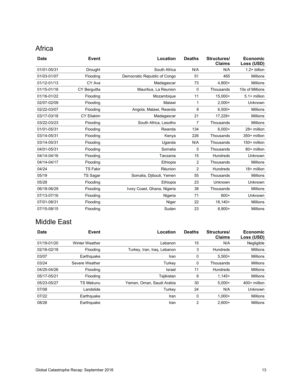#### Africa

| <b>Date</b> | Event             | Location                     | <b>Deaths</b>  | Structures/<br><b>Claims</b> | <b>Economic</b><br>Loss (USD) |
|-------------|-------------------|------------------------------|----------------|------------------------------|-------------------------------|
| 01/01-05/31 | <b>Drought</b>    | South Africa                 | N/A            | N/A                          | $1.2 + billion$               |
| 01/03-01/07 | Flooding          | Democratic Republic of Congo | 51             | 465                          | <b>Millions</b>               |
| 01/12-01/13 | CY Ava            | Madagascar                   | 73             | 4,800+                       | <b>Millions</b>               |
| 01/15-01/18 | CY Berguitta      | Mauritius, La Reunion        | 0              | Thousands                    | 10s of Millions               |
| 01/16-01/22 | Flooding          | Mozambique                   | 11             | $15,000+$                    | $5.1 +$ million               |
| 02/07-02/09 | Flooding          | Malawi                       | 1              | $2.000+$                     | Unknown                       |
| 02/22-03/07 | Flooding          | Angola, Malawi, Rwanda       | 8              | $6,500+$                     | <b>Millions</b>               |
| 03/17-03/18 | <b>CY Eliakim</b> | Madagascar                   | 21             | $17,228+$                    | <b>Millions</b>               |
| 03/22-03/23 | Flooding          | South Africa, Lesotho        | 7              | Thousands                    | <b>Millions</b>               |
| 01/01-05/31 | Flooding          | Rwanda                       | 134            | $6,000+$                     | 28+ million                   |
| 03/14-05/31 | Flooding          | Kenya                        | 226            | Thousands                    | 350+ million                  |
| 03/14-05/31 | Flooding          | Uganda                       | N/A            | Thousands                    | 150+ million                  |
| 04/01-05/31 | Flooding          | Somalia                      | 5              | Thousands                    | 80+ million                   |
| 04/14-04/16 | Flooding          | Tanzania                     | 15             | Hundreds                     | Unknown                       |
| 04/14-04/17 | Flooding          | Ethiopia                     | 2              | Thousands                    | <b>Millions</b>               |
| 04/24       | <b>TS Fakir</b>   | Réunion                      | $\overline{2}$ | Hundreds                     | 18+ million                   |
| 05/19       | <b>TS Sagar</b>   | Somalia, Djibouti, Yemen     | 55             | Thousands                    | <b>Millions</b>               |
| 05/28       | Flooding          | Ethiopia                     | 23             | Unknown                      | <b>Unknown</b>                |
| 06/18-06/29 | Flooding          | Ivory Coast, Ghana, Nigeria  | 38             | Thousands                    | <b>Millions</b>               |
| 07/13-07/16 | Flooding          | Nigeria                      | 71             | $600+$                       | Unknown                       |
| 07/01-08/31 | Flooding          | Niger                        | 22             | $18,140+$                    | <b>Millions</b>               |
| 07/15-08/15 | Flooding          | Sudan                        | 23             | $8,900+$                     | <b>Millions</b>               |

#### Middle East

| <b>Date</b> | <b>Event</b>          | Location                    | <b>Deaths</b> | Structures/<br><b>Claims</b> | <b>Economic</b><br>Loss (USD) |
|-------------|-----------------------|-----------------------------|---------------|------------------------------|-------------------------------|
| 01/19-01/20 | <b>Winter Weather</b> | Lebanon                     | 15            | N/A                          | Negligible                    |
| 02/16-02/18 | Flooding              | Turkey, Iran, Iraq, Lebanon | 3             | Hundreds                     | <b>Millions</b>               |
| 03/07       | Earthquake            | Iran                        | 0             | $5.500+$                     | <b>Millions</b>               |
| 03/24       | Severe Weather        | Turkey                      | 0             | Thousands                    | <b>Millions</b>               |
| 04/25-04/26 | Flooding              | Israel                      | 11            | Hundreds                     | <b>Millions</b>               |
| 05/17-05/21 | Flooding              | Tajikistan                  | 6             | $1.145+$                     | <b>Millions</b>               |
| 05/23-05/27 | <b>TS Mekunu</b>      | Yemen, Oman, Saudi Arabia   | 30            | $5.000+$                     | 400+ million                  |
| 07/08       | Landslide             | Turkey                      | 24            | N/A                          | <b>Unknown</b>                |
| 07/22       | Earthquake            | Iran                        | 0             | $1.000 +$                    | <b>Millions</b>               |
| 08/26       | Earthquake            | Iran                        | 2             | $2.600+$                     | <b>Millions</b>               |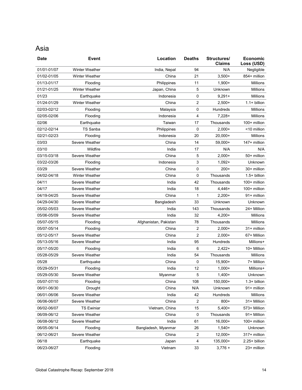#### Asia

| <b>Date</b> | <b>Event</b>          | Location              | <b>Deaths</b> | Structures/<br><b>Claims</b> | Economic<br>Loss (USD) |
|-------------|-----------------------|-----------------------|---------------|------------------------------|------------------------|
| 01/01-01/07 | Winter Weather        | India, Nepal          | 94            | N/A                          | Negligible             |
| 01/02-01/05 | <b>Winter Weather</b> | China                 | 21            | $3,500+$                     | 854+ million           |
| 01/13-01/17 | Flooding              | Philippines           | 11            | $1,900+$                     | Millions               |
| 01/21-01/25 | Winter Weather        | Japan, China          | 5             | Unknown                      | <b>Millions</b>        |
| 01/23       | Earthquake            | Indonesia             | 0             | $9,291+$                     | <b>Millions</b>        |
| 01/24-01/29 | Winter Weather        | China                 | 2             | $2,500+$                     | $1.1 + billion$        |
| 02/03-02/12 | Flooding              | Malaysia              | 0             | Hundreds                     | Millions               |
| 02/05-02/06 | Flooding              | Indonesia             | 4             | $7,228+$                     | Millions               |
| 02/06       | Earthquake            | Taiwan                | 17            | Thousands                    | 100+ million           |
| 02/12-02/14 | <b>TS Sanba</b>       | Philippines           | 0             | $2,000+$                     | <10 million            |
| 02/21-02/23 | Flooding              | Indonesia             | 20            | $20,000+$                    | Millions               |
| 03/03       | Severe Weather        | China                 | 14            | 59,000+                      | 147+ million           |
| 03/10       | Wildfire              | India                 | 17            | N/A                          | N/A                    |
| 03/15-03/18 | Severe Weather        | China                 | 5             | $2,000+$                     | 50+ million            |
| 03/22-03/26 | Flooding              | Indonesia             | 3             | $1,092+$                     | Unknown                |
| 03/29       | Severe Weather        | China                 | 0             | $200+$                       | 30+ million            |
| 04/02-04/18 | Winter Weather        | China                 | 0             | Thousands                    | $1.5+$ billion         |
| 04/11       | Severe Weather        | India                 | 42            | Thousands                    | 100+ million           |
| 04/17       | Severe Weather        | India                 | 18            | 4,446+                       | 100+ million           |
| 04/19-04/25 | Severe Weather        | China                 | 1             | $2,200+$                     | 91+ million            |
| 04/29-04/30 | Severe Weather        | Bangladesh            | 33            | Unknown                      | Unknown                |
| 05/02-05/03 | Severe Weather        | India                 | 143           | Thousands                    | 24+ Million            |
| 05/06-05/09 | Severe Weather        | India                 | 32            | $4,200+$                     | <b>Millions</b>        |
| 05/07-05/15 | Flooding              | Afghanistan, Pakistan | 78            | Thousands                    | Millions               |
| 05/07-05/14 | Flooding              | China                 | 2             | $2,000+$                     | 31+ million            |
| 05/12-05/17 | Severe Weather        | China                 | 2             | $2,000+$                     | 67+ Million            |
| 05/13-05/16 | Severe Weather        | India                 | 95            | Hundreds                     | Millions+              |
| 05/17-05/20 | Flooding              | India                 | 6             | $2,422+$                     | 10+ Million            |
| 05/28-05/29 | Severe Weather        | India                 | 54            | Thousands                    | Millions               |
| 05/28       | Earthquake            | China                 | 0             | 15,900+                      | 7+ Million             |
| 05/29-05/31 | Flooding              | India                 | 12            | $1,000+$                     | Millions+              |
| 05/29-05/30 | Severe Weather        | Myanmar               | 5             | $1,400+$                     | Unknown                |
| 05/07-07/10 | Flooding              | China                 | 108           | 150,000+                     | 1.3+ billion           |
| 06/01-06/30 | <b>Drought</b>        | China                 | N/A           | Unknown                      | 91+ million            |
| 06/01-06/06 | Severe Weather        | India                 | 42            | Hundreds                     | Millions               |
| 06/06-06/07 | Severe Weather        | China                 | 2             | $800+$                       | 31+ Million            |
| 06/02-06/07 | <b>TS Ewiniar</b>     | Vietnam, China        | 15            | $5,400+$                     | 573+ Million           |
| 06/09-06/12 | Severe Weather        | China                 | 0             | Thousands                    | 91+ Million            |
| 06/08-06/12 | Severe Weather        | India                 | 61            | 16,000+                      | 100+ million           |
| 06/05-06/14 | Flooding              | Bangladesh, Myanmar   | 26            | $1,540+$                     | Unknown                |
| 06/12-06/21 | Severe Weather        | China                 | 2             | 12,000+                      | 317+ million           |
| 06/18       | Earthquake            | Japan                 | 4             | 135,000+                     | 2.25+ billion          |
| 06/23-06/27 | Flooding              | Vietnam               | 33            | $3,776 +$                    | 23+ million            |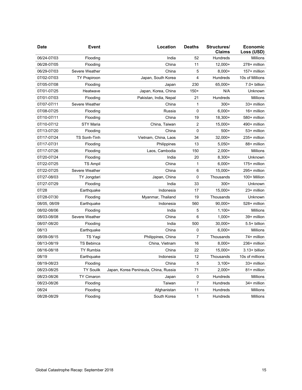| <b>Date</b>  | Event               | Location                              | <b>Deaths</b>    | Structures/<br><b>Claims</b> | <b>Economic</b><br>Loss (USD) |
|--------------|---------------------|---------------------------------------|------------------|------------------------------|-------------------------------|
| 06/24-07/03  | Flooding            | India                                 | 52               | Hundreds                     | <b>Millions</b>               |
| 06/28-07/05  | Flooding            | China                                 | 11               | $12,000+$                    | 278+ million                  |
| 06/29-07/03  | Severe Weather      | China                                 | 5                | $8,000+$                     | 157+ million                  |
| 07/02-07/03  | <b>TY Prapiroon</b> | Japan, South Korea                    | $\overline{4}$   | Hundreds                     | 10s of Millions               |
| 07/05-07/08  | Flooding            | Japan                                 | 230              | 65,000+                      | 7.0+ billion                  |
| 07/01-07/25  | Heatwave            | Japan, Korea, China                   | $150+$           | N/A                          | Unknown                       |
| 07/01-07/03  | Flooding            | Pakistan, India, Nepal                | 21               | Hundreds                     | <b>Millions</b>               |
| 07/07-07/11  | Severe Weather      | China                                 | 1                | $300+$                       | 33+ million                   |
| 07/08-07/25  | Flooding            | Russia                                | $\mathbf 0$      | $6,000+$                     | 16+ million                   |
| 07/10-07/11  | Flooding            | China                                 | 19               | $18,300+$                    | 580+ million                  |
| 07/10-07/12  | <b>STY Maria</b>    | China, Taiwan                         | $\overline{2}$   | $15,000+$                    | 490+ million                  |
| 07/13-07/20  | Flooding            | China                                 | $\mathbf 0$      | $500+$                       | 53+ million                   |
| 07/17-07/24  | <b>TS Sonh-Tinh</b> | Vietnam, China, Laos                  | 34               | 32,000+                      | 235+ million                  |
| 07/17-07/31  | Flooding            | Philippines                           | 13               | $5,050+$                     | 88+ million                   |
| 07/17-07/26  | Flooding            | Laos, Cambodia                        | 150              | $2,000+$                     | Millions                      |
| 07/20-07/24  | Flooding            | India                                 | 20               | $8,300+$                     | Unknown                       |
| 07/22-07/25  | <b>TS Ampil</b>     | China                                 | 1                | $6,000+$                     | 175+ million                  |
| 07/22-07/25  | Severe Weather      | China                                 | 6                | 15,000+                      | 295+ million                  |
| 07/27-08/03  | TY Jongdari         | Japan, China                          | $\mathbf 0$      | Thousands                    | 100+ Million                  |
| 07/27-07/29  | Flooding            | India                                 | 33               | $300+$                       | Unknown                       |
| 07/28        | Earthquake          | Indonesia                             | 17               | 15,000+                      | 23+ million                   |
| 07/28-07/30  | Flooding            | Myanmar, Thailand                     | 19               | Thousands                    | Unknown                       |
| 08/05, 08/09 | Earthquake          | Indonesia                             | 560              | $90,000+$                    | 528+ million                  |
| 08/02-08/06  | Flooding            | India                                 | 5                | $1,100+$                     | <b>Millions</b>               |
| 08/03-08/08  | Severe Weather      | China                                 | 6                | $1,000+$                     | 39+ million                   |
| 08/07-08/20  | Flooding            | India                                 | 500              | $30,000+$                    | 5.5+ billion                  |
| 08/13        | Earthquake          | China                                 | 0                | $6,000+$                     | <b>Millions</b>               |
| 08/09-08/15  | TS Yagi             | Philippines, China                    | 7                | Thousands                    | 74+ million                   |
| 08/13-08/19  | TS Bebinca          | China, Vietnam                        | 16               | $8,000+$                     | 236+ million                  |
| 08/16-08/18  | <b>TY Rumbia</b>    | China                                 | 22               | 15,000+                      | 3.13+ billion                 |
| 08/19        | Earthquake          | Indonesia                             | 12               | Thousands                    | 10s of millions               |
| 08/19-08/23  | Flooding            | China                                 | 5                | $3,100+$                     | 33+ million                   |
| 08/23-08/25  | <b>TY Soulik</b>    | Japan, Korea Peninsula, China, Russia | 71               | $2,000+$                     | 81+ million                   |
| 08/23-08/26  | <b>TY Cimaron</b>   | Japan                                 | 0                | Hundreds                     | Millions                      |
| 08/23-08/26  | Flooding            | Taiwan                                | $\boldsymbol{7}$ | Hundreds                     | 34+ million                   |
| 08/24        | Flooding            | Afghanistan                           | 11               | Hundreds                     | Millions                      |
| 08/28-08/29  | Flooding            | South Korea                           | $\mathbf{1}$     | Hundreds                     | Millions                      |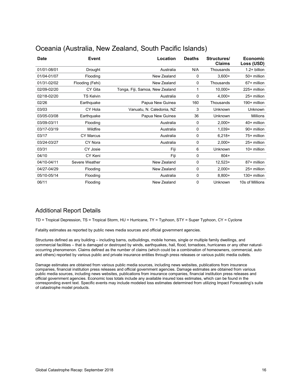| <b>Date</b> | Event            | Location                        | <b>Deaths</b> | Structures/<br><b>Claims</b> | <b>Economic</b><br>Loss (USD) |
|-------------|------------------|---------------------------------|---------------|------------------------------|-------------------------------|
| 01/01-08/01 | Drought          | Australia                       | N/A           | Thousands                    | $1.2 + billion$               |
| 01/04-01/07 | Flooding         | New Zealand                     | 0             | $3,600+$                     | 50+ million                   |
| 01/31-02/02 | Flooding (Fehi)  | New Zealand                     | 0             | Thousands                    | 67+ million                   |
| 02/09-02/20 | CY Gita          | Tonga, Fiji, Samoa, New Zealand | 1             | $10,000+$                    | 225+ million                  |
| 02/18-02/20 | <b>TS Kelvin</b> | Australia                       | 0             | $4,000+$                     | 25+ million                   |
| 02/26       | Earthquake       | Papua New Guinea                | 160           | Thousands                    | 190+ million                  |
| 03/03       | CY Hola          | Vanuatu, N. Caledonia, NZ       | 3             | Unknown                      | Unknown                       |
| 03/05-03/08 | Earthquake       | Papua New Guinea                | 36            | Unknown                      | <b>Millions</b>               |
| 03/09-03/11 | Flooding         | Australia                       | 0             | $2,000+$                     | 40+ million                   |
| 03/17-03/19 | Wildfire         | Australia                       | 0             | $1,039+$                     | 90+ million                   |
| 03/17       | <b>CY Marcus</b> | Australia                       | 0             | $6,218+$                     | 75+ million                   |
| 03/24-03/27 | CY Nora          | Australia                       | 0             | $2,000+$                     | 25+ million                   |
| 03/31       | CY Josie         | Fiji                            | 6             | Unknown                      | $10+$ million                 |
| 04/10       | CY Keni          | Fiji                            | 0             | $804+$                       |                               |
| 04/10-04/11 | Severe Weather   | New Zealand                     | $\mathbf 0$   | $12,523+$                    | 87+ million                   |
| 04/27-04/29 | Flooding         | New Zealand                     | 0             | $2,000+$                     | 25+ million                   |
| 05/10-05/14 | Flooding         | Australia                       | 0             | $8,800+$                     | 130+ million                  |
| 06/11       | Flooding         | New Zealand                     | 0             | Unknown                      | 10s of Millions               |

#### Oceania (Australia, New Zealand, South Pacific Islands)

#### Additional Report Details

TD = Tropical Depression, TS = Tropical Storm, HU = Hurricane, TY = Typhoon, STY = Super Typhoon, CY = Cyclone

Fatality estimates as reported by public news media sources and official government agencies.

Structures defined as any building – including barns, outbuildings, mobile homes, single or multiple family dwellings, and commercial facilities – that is damaged or destroyed by winds, earthquakes, hail, flood, tornadoes, hurricanes or any other naturaloccurring phenomenon. Claims defined as the number of claims (which could be a combination of homeowners, commercial, auto and others) reported by various public and private insurance entities through press releases or various public media outlets.

Damage estimates are obtained from various public media sources, including news websites, publications from insurance companies, financial institution press releases and official government agencies. Damage estimates are obtained from various public media sources, including news websites, publications from insurance companies, financial institution press releases and official government agencies. Economic loss totals include any available insured loss estimates, which can be found in the corresponding event text. Specific events may include modeled loss estimates determined from utilizing Impact Forecasting's suite of catastrophe model products.